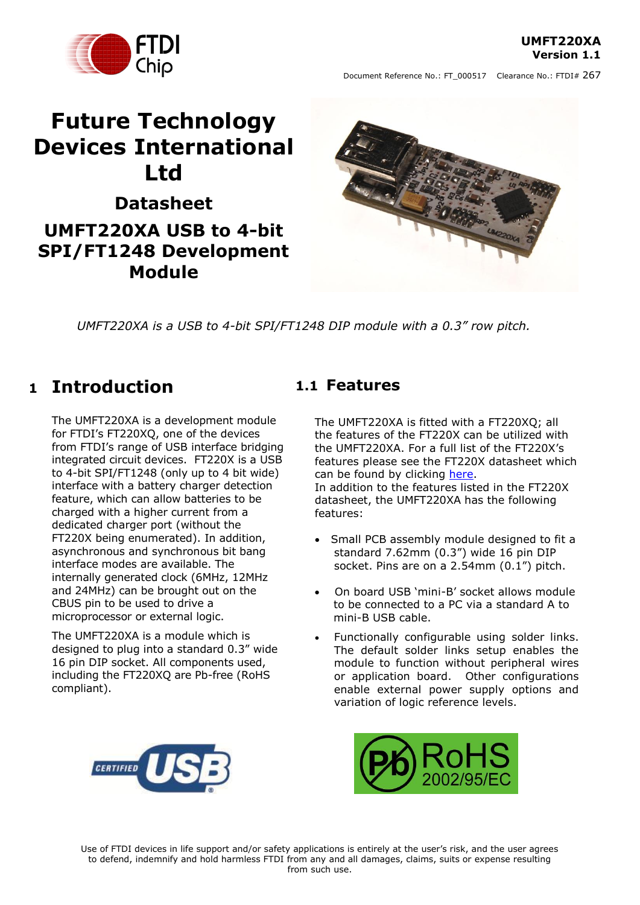**UMFT220XA Version 1.1**



# **Future Technology Devices International Ltd**

**Datasheet UMFT220XA USB to 4-bit SPI/FT1248 Development Module**



*UMFT220XA is a USB to 4-bit SPI/FT1248 DIP module with a 0.3" row pitch.*

# <span id="page-0-0"></span>**1 Introduction**

The UMFT220XA is a development module for FTDI's FT220XO, one of the devices from FTDI's range of USB interface bridging integrated circuit devices. FT220X is a USB to 4-bit SPI/FT1248 (only up to 4 bit wide) interface with a battery charger detection feature, which can allow batteries to be charged with a higher current from a dedicated charger port (without the FT220X being enumerated). In addition, asynchronous and synchronous bit bang interface modes are available. The internally generated clock (6MHz, 12MHz and 24MHz) can be brought out on the CBUS pin to be used to drive a microprocessor or external logic.

The UMFT220XA is a module which is designed to plug into a standard 0.3" wide 16 pin DIP socket. All components used, including the FT220XQ are Pb-free (RoHS compliant).

### <span id="page-0-1"></span>**1.1 Features**

The UMFT220XA is fitted with a FT220XQ; all the features of the FT220X can be utilized with the UMFT220XA. For a full list of the FT220X"s features please see the FT220X datasheet which can be found by clicking [here.](http://www.ftdichip.com/Support/Documents/DataSheets/ICs/DS_FT220X.pdf) In addition to the features listed in the FT220X

datasheet, the UMFT220XA has the following features:

- Small PCB assembly module designed to fit a standard 7.62mm (0.3") wide 16 pin DIP socket. Pins are on a 2.54mm (0.1") pitch.
- On board USB "mini-B" socket allows module to be connected to a PC via a standard A to mini-B USB cable.
- Functionally configurable using solder links. The default solder links setup enables the module to function without peripheral wires or application board. Other configurations enable external power supply options and variation of logic reference levels.



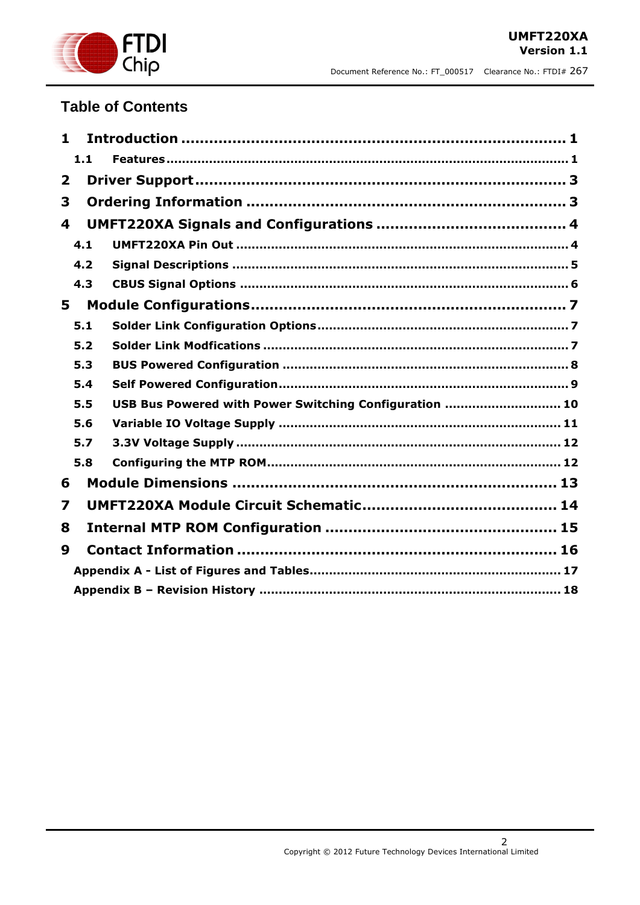

### **Table of Contents**

| 1                       |                                                        |
|-------------------------|--------------------------------------------------------|
| 1.1                     |                                                        |
| $\overline{\mathbf{2}}$ |                                                        |
| 3                       |                                                        |
| 4                       |                                                        |
| 4.1                     |                                                        |
| 4.2                     |                                                        |
| 4.3                     |                                                        |
| 5                       |                                                        |
| 5.1                     |                                                        |
| 5.2                     |                                                        |
| 5.3                     |                                                        |
| 5.4                     |                                                        |
| 5.5                     | USB Bus Powered with Power Switching Configuration  10 |
| 5.6                     |                                                        |
| 5.7                     |                                                        |
| 5.8                     |                                                        |
| 6                       |                                                        |
| 7                       |                                                        |
| 8                       |                                                        |
| 9                       |                                                        |
|                         |                                                        |
|                         |                                                        |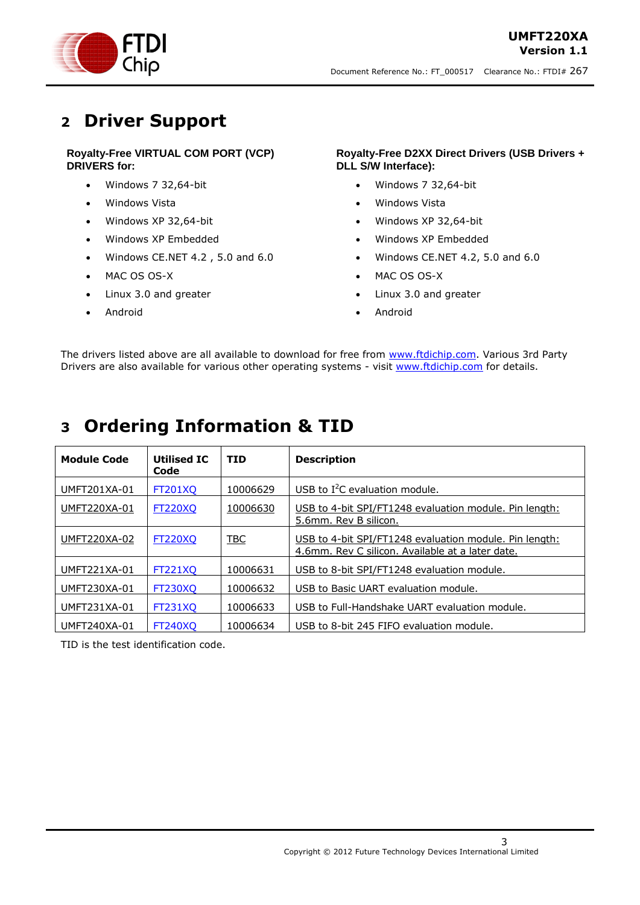

### <span id="page-2-0"></span>**2 Driver Support**

#### **Royalty-Free VIRTUAL COM PORT (VCP) DRIVERS for:**

- Windows 7 32,64-bit
- Windows Vista
- Windows XP 32,64-bit
- Windows XP Embedded
- $\bullet$  Windows CE.NET 4.2, 5.0 and 6.0
- MAC OS OS-X
- Linux 3.0 and greater

#### Android

#### **Royalty-Free D2XX Direct Drivers (USB Drivers + DLL S/W Interface):**

- Windows 7 32,64-bit
- Windows Vista
- Windows XP 32,64-bit
- Windows XP Embedded
- Windows CE.NET 4.2, 5.0 and 6.0
- MAC OS OS-X
- Linux 3.0 and greater
- Android

The drivers listed above are all available to download for free from [www.ftdichip.com.](http://www.ftdichip.com/) Various 3rd Party Drivers are also available for various other operating systems - visit [www.ftdichip.com](http://www.ftdichip.com/) for details.

# <span id="page-2-1"></span>**3 Ordering Information & TID**

| <b>Module Code</b> | <b>Utilised IC</b><br>Code | <b>TID</b> | <b>Description</b>                                                                                         |
|--------------------|----------------------------|------------|------------------------------------------------------------------------------------------------------------|
| UMFT201XA-01       | <b>FT201XO</b>             | 10006629   | USB to $I^2C$ evaluation module.                                                                           |
| UMFT220XA-01       | <b>FT220XQ</b>             | 10006630   | USB to 4-bit SPI/FT1248 evaluation module. Pin length:<br>5.6mm. Rev B silicon.                            |
| UMFT220XA-02       | <b>FT220XQ</b>             | <b>TBC</b> | USB to 4-bit SPI/FT1248 evaluation module. Pin length:<br>4.6mm, Rev C silicon, Available at a later date. |
| UMFT221XA-01       | <b>FT221XO</b>             | 10006631   | USB to 8-bit SPI/FT1248 evaluation module.                                                                 |
| UMFT230XA-01       | <b>FT230XO</b>             | 10006632   | USB to Basic UART evaluation module.                                                                       |
| UMFT231XA-01       | <b>FT231XO</b>             | 10006633   | USB to Full-Handshake UART evaluation module.                                                              |
| UMFT240XA-01       | <b>FT240XO</b>             | 10006634   | USB to 8-bit 245 FIFO evaluation module.                                                                   |

TID is the test identification code.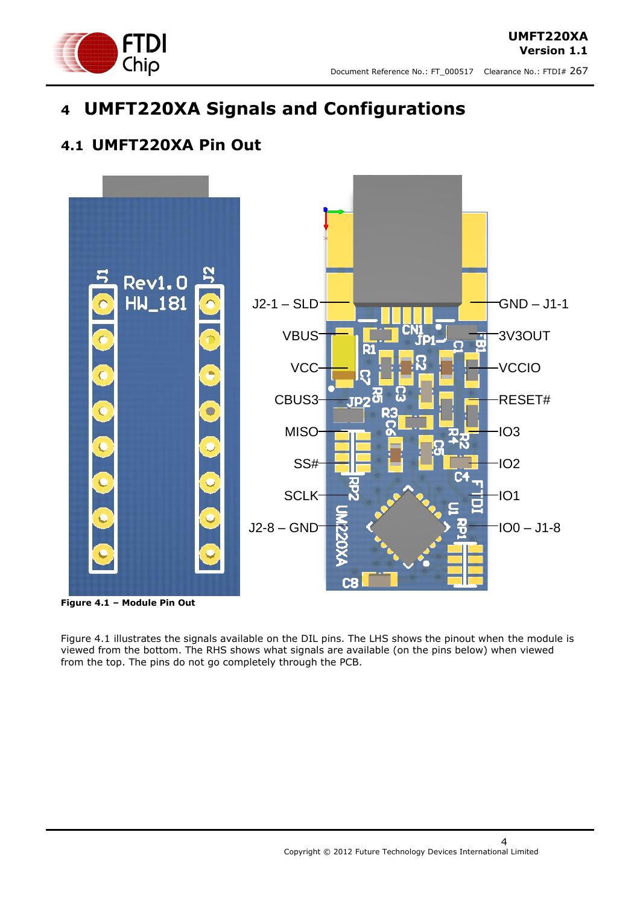

# <span id="page-3-0"></span>**4 UMFT220XA Signals and Configurations**

### <span id="page-3-1"></span>**4.1 UMFT220XA Pin Out**



<span id="page-3-2"></span>**Figure 4.1 – Module Pin Out** 

Figure 4.1 illustrates the signals available on the DIL pins. The LHS shows the pinout when the module is viewed from the bottom. The RHS shows what signals are available (on the pins below) when viewed from the top. The pins do not go completely through the PCB.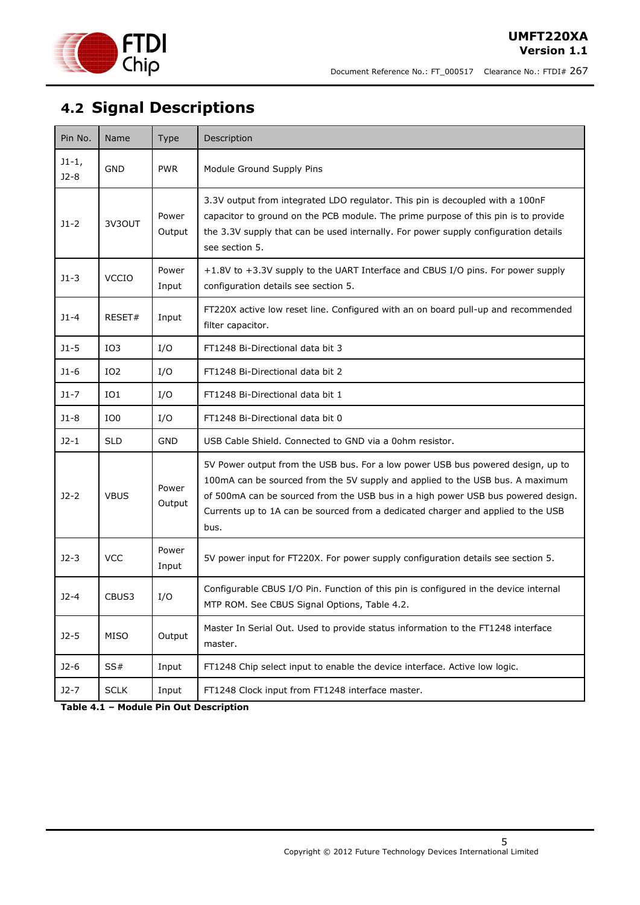

# <span id="page-4-0"></span>**4.2 Signal Descriptions**

| Pin No.           | Name            | <b>Type</b>     | Description                                                                                                                                                                                                                                                                                                                                      |
|-------------------|-----------------|-----------------|--------------------------------------------------------------------------------------------------------------------------------------------------------------------------------------------------------------------------------------------------------------------------------------------------------------------------------------------------|
| $J1-1,$<br>$J2-8$ | <b>GND</b>      | <b>PWR</b>      | Module Ground Supply Pins                                                                                                                                                                                                                                                                                                                        |
| $J1-2$            | 3V3OUT          | Power<br>Output | 3.3V output from integrated LDO regulator. This pin is decoupled with a 100nF<br>capacitor to ground on the PCB module. The prime purpose of this pin is to provide<br>the 3.3V supply that can be used internally. For power supply configuration details<br>see section 5.                                                                     |
| $J1-3$            | <b>VCCIO</b>    | Power<br>Input  | +1.8V to +3.3V supply to the UART Interface and CBUS I/O pins. For power supply<br>configuration details see section 5.                                                                                                                                                                                                                          |
| $J1 - 4$          | RESET#          | Input           | FT220X active low reset line. Configured with an on board pull-up and recommended<br>filter capacitor.                                                                                                                                                                                                                                           |
| $J1-5$            | IO <sub>3</sub> | I/O             | FT1248 Bi-Directional data bit 3                                                                                                                                                                                                                                                                                                                 |
| $J1-6$            | IO <sub>2</sub> | I/O             | FT1248 Bi-Directional data bit 2                                                                                                                                                                                                                                                                                                                 |
| $J1-7$            | IO1             | I/O             | FT1248 Bi-Directional data bit 1                                                                                                                                                                                                                                                                                                                 |
| $J1-8$            | IO <sub>0</sub> | I/O             | FT1248 Bi-Directional data bit 0                                                                                                                                                                                                                                                                                                                 |
| $J2-1$            | <b>SLD</b>      | <b>GND</b>      | USB Cable Shield. Connected to GND via a 0ohm resistor.                                                                                                                                                                                                                                                                                          |
| $J2-2$            | <b>VBUS</b>     | Power<br>Output | 5V Power output from the USB bus. For a low power USB bus powered design, up to<br>100mA can be sourced from the 5V supply and applied to the USB bus. A maximum<br>of 500mA can be sourced from the USB bus in a high power USB bus powered design.<br>Currents up to 1A can be sourced from a dedicated charger and applied to the USB<br>bus. |
| $J2-3$            | <b>VCC</b>      | Power<br>Input  | 5V power input for FT220X. For power supply configuration details see section 5.                                                                                                                                                                                                                                                                 |
| $J2-4$            | CBUS3           | I/O             | Configurable CBUS I/O Pin. Function of this pin is configured in the device internal<br>MTP ROM. See CBUS Signal Options, Table 4.2.                                                                                                                                                                                                             |
| $J2-5$            | <b>MISO</b>     | Output          | Master In Serial Out. Used to provide status information to the FT1248 interface<br>master.                                                                                                                                                                                                                                                      |
| $J2-6$            | SS#             | Input           | FT1248 Chip select input to enable the device interface. Active low logic.                                                                                                                                                                                                                                                                       |
| $J2-7$            | <b>SCLK</b>     | Input           | FT1248 Clock input from FT1248 interface master.                                                                                                                                                                                                                                                                                                 |

<span id="page-4-1"></span>**Table 4.1 – Module Pin Out Description**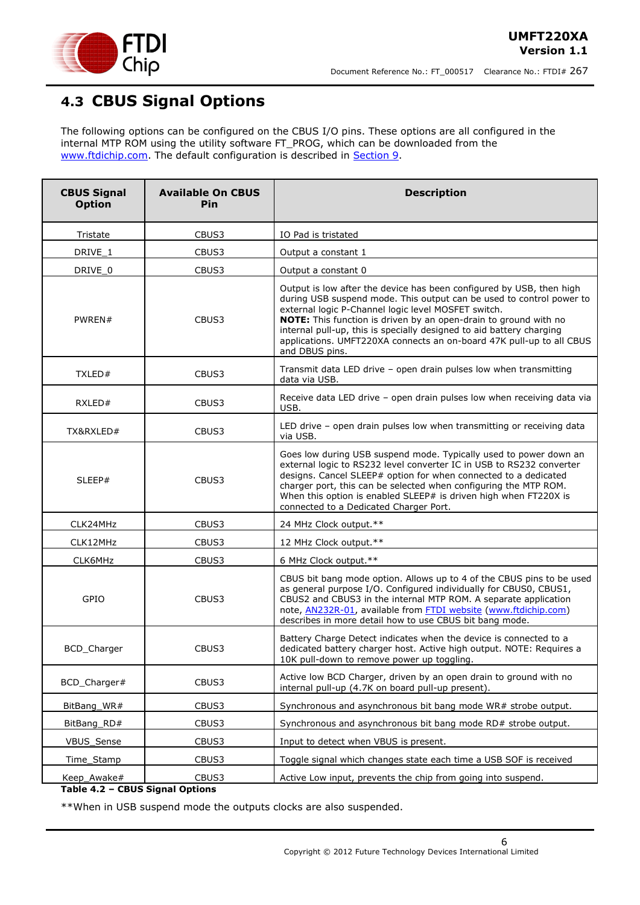

### <span id="page-5-0"></span>**4.3 CBUS Signal Options**

The following options can be configured on the CBUS I/O pins. These options are all configured in the internal MTP ROM using the utility software FT\_PROG, which can be downloaded from the [www.ftdichip.com.](http://www.ftdichip.com/) The default configuration is described in [Section 9.](../../../ian.dunn/My%20Documents/SharePoint%20Drafts/DS_UMFT231XA-01.doc#_Internal_EEPROM_Configuration)

| <b>CBUS Signal</b><br><b>Option</b>            | <b>Available On CBUS</b><br>Pin | <b>Description</b>                                                                                                                                                                                                                                                                                                                                                                                                                        |
|------------------------------------------------|---------------------------------|-------------------------------------------------------------------------------------------------------------------------------------------------------------------------------------------------------------------------------------------------------------------------------------------------------------------------------------------------------------------------------------------------------------------------------------------|
| Tristate                                       | CBUS3                           | IO Pad is tristated                                                                                                                                                                                                                                                                                                                                                                                                                       |
| DRIVE 1                                        | CBUS3                           | Output a constant 1                                                                                                                                                                                                                                                                                                                                                                                                                       |
| DRIVE_0                                        | CBUS3                           | Output a constant 0                                                                                                                                                                                                                                                                                                                                                                                                                       |
| PWREN#                                         | CBUS3                           | Output is low after the device has been configured by USB, then high<br>during USB suspend mode. This output can be used to control power to<br>external logic P-Channel logic level MOSFET switch.<br>NOTE: This function is driven by an open-drain to ground with no<br>internal pull-up, this is specially designed to aid battery charging<br>applications. UMFT220XA connects an on-board 47K pull-up to all CBUS<br>and DBUS pins. |
| TXLED#                                         | CBUS3                           | Transmit data LED drive - open drain pulses low when transmitting<br>data via USB.                                                                                                                                                                                                                                                                                                                                                        |
| RXLED#                                         | CBUS3                           | Receive data LED drive - open drain pulses low when receiving data via<br>USB.                                                                                                                                                                                                                                                                                                                                                            |
| TX&RXLED#                                      | CBUS3                           | LED drive - open drain pulses low when transmitting or receiving data<br>via USB.                                                                                                                                                                                                                                                                                                                                                         |
| SLEEP#                                         | CBUS3                           | Goes low during USB suspend mode. Typically used to power down an<br>external logic to RS232 level converter IC in USB to RS232 converter<br>designs. Cancel SLEEP# option for when connected to a dedicated<br>charger port, this can be selected when configuring the MTP ROM.<br>When this option is enabled SLEEP# is driven high when FT220X is<br>connected to a Dedicated Charger Port.                                            |
| CLK24MHz                                       | CBUS3                           | 24 MHz Clock output.**                                                                                                                                                                                                                                                                                                                                                                                                                    |
| CLK12MHz                                       | CBUS3                           | 12 MHz Clock output.**                                                                                                                                                                                                                                                                                                                                                                                                                    |
| CLK6MHz                                        | CBUS3                           | 6 MHz Clock output.**                                                                                                                                                                                                                                                                                                                                                                                                                     |
| GPIO                                           | CBUS3                           | CBUS bit bang mode option. Allows up to 4 of the CBUS pins to be used<br>as general purpose I/O. Configured individually for CBUS0, CBUS1,<br>CBUS2 and CBUS3 in the internal MTP ROM. A separate application<br>note, <b>AN232R-01</b> , available from <b>FTDI</b> website (www.ftdichip.com)<br>describes in more detail how to use CBUS bit bang mode.                                                                                |
| <b>BCD</b> Charger                             | CBUS3                           | Battery Charge Detect indicates when the device is connected to a<br>dedicated battery charger host. Active high output. NOTE: Requires a<br>10K pull-down to remove power up toggling.                                                                                                                                                                                                                                                   |
| BCD_Charger#                                   | CBUS3                           | Active low BCD Charger, driven by an open drain to ground with no<br>internal pull-up (4.7K on board pull-up present).                                                                                                                                                                                                                                                                                                                    |
| BitBang_WR#                                    | CBUS3                           | Synchronous and asynchronous bit bang mode WR# strobe output.                                                                                                                                                                                                                                                                                                                                                                             |
| BitBang_RD#                                    | CBUS3                           | Synchronous and asynchronous bit bang mode RD# strobe output.                                                                                                                                                                                                                                                                                                                                                                             |
| VBUS_Sense                                     | CBUS3                           | Input to detect when VBUS is present.                                                                                                                                                                                                                                                                                                                                                                                                     |
| Time_Stamp                                     | CBUS3                           | Toggle signal which changes state each time a USB SOF is received                                                                                                                                                                                                                                                                                                                                                                         |
| Keep_Awake#<br>Table 4.2 - CBUS Signal Options | CBUS3                           | Active Low input, prevents the chip from going into suspend.                                                                                                                                                                                                                                                                                                                                                                              |

<span id="page-5-1"></span>\*\*When in USB suspend mode the outputs clocks are also suspended.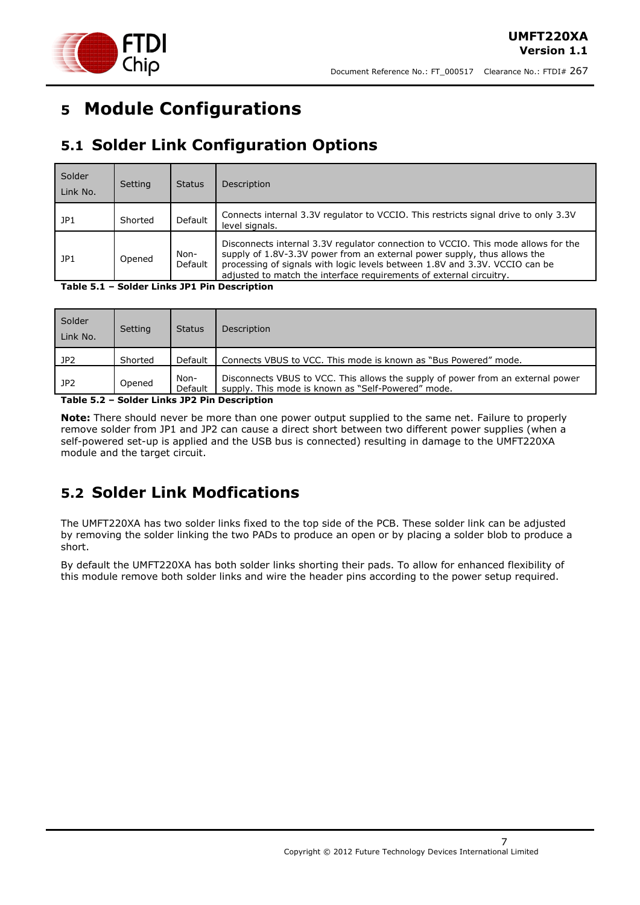

# <span id="page-6-0"></span>**5 Module Configurations**

# <span id="page-6-1"></span>**5.1 Solder Link Configuration Options**

| Solder<br>Link No. | Setting | <b>Status</b>   | Description                                                                                                                                                                                                                                                                                                         |
|--------------------|---------|-----------------|---------------------------------------------------------------------------------------------------------------------------------------------------------------------------------------------------------------------------------------------------------------------------------------------------------------------|
| JP1                | Shorted | Default         | Connects internal 3.3V regulator to VCCIO. This restricts signal drive to only 3.3V<br>level signals.                                                                                                                                                                                                               |
| JPI                | Opened  | Non-<br>Default | Disconnects internal 3.3V regulator connection to VCCIO. This mode allows for the<br>supply of 1.8V-3.3V power from an external power supply, thus allows the<br>processing of signals with logic levels between 1.8V and 3.3V. VCCIO can be<br>adjusted to match the interface requirements of external circuitry. |

<span id="page-6-3"></span>**Table 5.1 – Solder Links JP1 Pin Description**

| Solder<br>Link No. | Setting | <b>Status</b>   | Description                                                                                                                           |
|--------------------|---------|-----------------|---------------------------------------------------------------------------------------------------------------------------------------|
| JP2                | Shorted | Default         | Connects VBUS to VCC. This mode is known as "Bus Powered" mode.                                                                       |
| JP2                | Opened  | Non-<br>Default | Disconnects VBUS to VCC. This allows the supply of power from an external power<br>supply. This mode is known as "Self-Powered" mode. |

<span id="page-6-4"></span>**Table 5.2 – Solder Links JP2 Pin Description**

**Note:** There should never be more than one power output supplied to the same net. Failure to properly remove solder from JP1 and JP2 can cause a direct short between two different power supplies (when a self-powered set-up is applied and the USB bus is connected) resulting in damage to the UMFT220XA module and the target circuit.

### <span id="page-6-2"></span>**5.2 Solder Link Modfications**

The UMFT220XA has two solder links fixed to the top side of the PCB. These solder link can be adjusted by removing the solder linking the two PADs to produce an open or by placing a solder blob to produce a short.

By default the UMFT220XA has both solder links shorting their pads. To allow for enhanced flexibility of this module remove both solder links and wire the header pins according to the power setup required.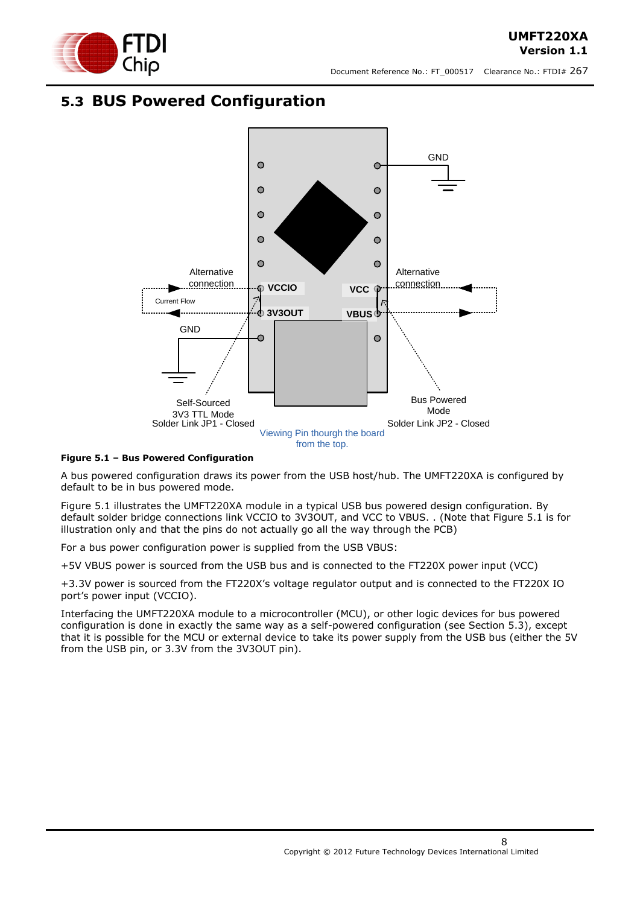

### <span id="page-7-0"></span>**5.3 BUS Powered Configuration**



#### <span id="page-7-1"></span>**Figure 5.1 – Bus Powered Configuration**

A bus powered configuration draws its power from the USB host/hub. The UMFT220XA is configured by default to be in bus powered mode.

[Figure 5.1](#page-7-1) illustrates the UMFT220XA module in a typical USB bus powered design configuration. By default solder bridge connections link VCCIO to 3V3OUT, and VCC to VBUS. . (Note that Figure 5.1 is for illustration only and that the pins do not actually go all the way through the PCB)

For a bus power configuration power is supplied from the USB VBUS:

+5V VBUS power is sourced from the USB bus and is connected to the FT220X power input (VCC)

+3.3V power is sourced from the FT220X"s voltage regulator output and is connected to the FT220X IO port"s power input (VCCIO).

Interfacing the UMFT220XA module to a microcontroller (MCU), or other logic devices for bus powered configuration is done in exactly the same way as a self-powered configuration (see Section 5.3), except that it is possible for the MCU or external device to take its power supply from the USB bus (either the 5V from the USB pin, or 3.3V from the 3V3OUT pin).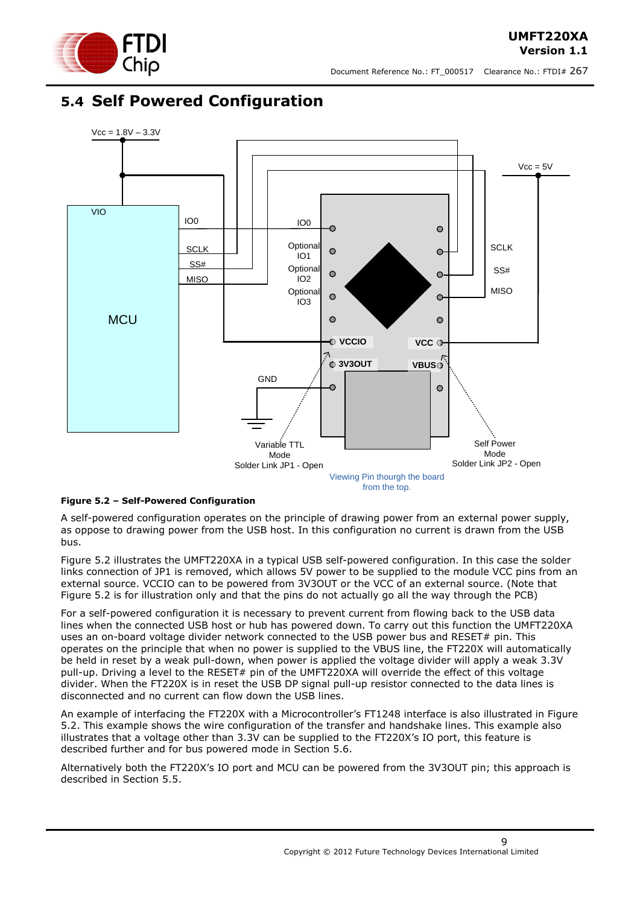

### <span id="page-8-0"></span>**5.4 Self Powered Configuration**



#### <span id="page-8-1"></span>**Figure 5.2 – Self-Powered Configuration**

A self-powered configuration operates on the principle of drawing power from an external power supply, as oppose to drawing power from the USB host. In this configuration no current is drawn from the USB bus.

[Figure 5.2](#page-8-1) illustrates the UMFT220XA in a typical USB self-powered configuration. In this case the solder links connection of JP1 is removed, which allows 5V power to be supplied to the module VCC pins from an external source. VCCIO can to be powered from 3V3OUT or the VCC of an external source. (Note that Figure 5.2 is for illustration only and that the pins do not actually go all the way through the PCB)

For a self-powered configuration it is necessary to prevent current from flowing back to the USB data lines when the connected USB host or hub has powered down. To carry out this function the UMFT220XA uses an on-board voltage divider network connected to the USB power bus and RESET# pin. This operates on the principle that when no power is supplied to the VBUS line, the FT220X will automatically be held in reset by a weak pull-down, when power is applied the voltage divider will apply a weak 3.3V pull-up. Driving a level to the RESET# pin of the UMFT220XA will override the effect of this voltage divider. When the FT220X is in reset the USB DP signal pull-up resistor connected to the data lines is disconnected and no current can flow down the USB lines.

An example of interfacing the FT220X with a Microcontroller"s FT1248 interface is also illustrated in [Figure](#page-8-1)  [5.2.](#page-8-1) This example shows the wire configuration of the transfer and handshake lines. This example also illustrates that a voltage other than 3.3V can be supplied to the FT220X"s IO port, this feature is described further and for bus powered mode in Section [5.6.](#page-10-0)

Alternatively both the FT220X"s IO port and MCU can be powered from the 3V3OUT pin; this approach is described in Section [5.5.](#page-9-0)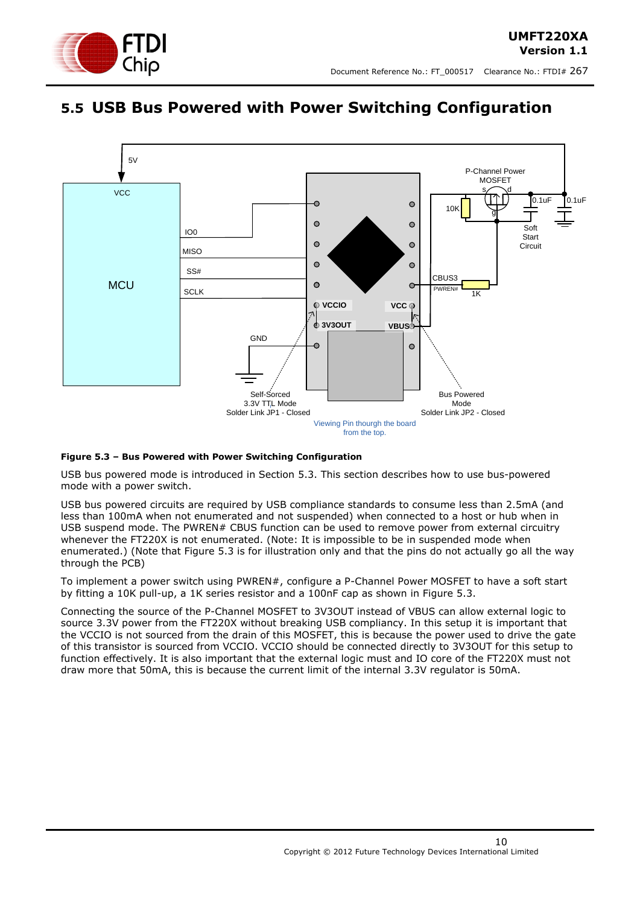



### <span id="page-9-0"></span>**5.5 USB Bus Powered with Power Switching Configuration**



#### <span id="page-9-1"></span>**Figure 5.3 – Bus Powered with Power Switching Configuration**

USB bus powered mode is introduced in Section [5.3.](#page-7-0) This section describes how to use bus-powered mode with a power switch.

USB bus powered circuits are required by USB compliance standards to consume less than 2.5mA (and less than 100mA when not enumerated and not suspended) when connected to a host or hub when in USB suspend mode. The PWREN# CBUS function can be used to remove power from external circuitry whenever the FT220X is not enumerated. (Note: It is impossible to be in suspended mode when enumerated.) (Note that Figure 5.3 is for illustration only and that the pins do not actually go all the way through the PCB)

To implement a power switch using PWREN#, configure a P-Channel Power MOSFET to have a soft start by fitting a 10K pull-up, a 1K series resistor and a 100nF cap as shown in [Figure 5.3.](#page-9-1)

Connecting the source of the P-Channel MOSFET to 3V3OUT instead of VBUS can allow external logic to source 3.3V power from the FT220X without breaking USB compliancy. In this setup it is important that the VCCIO is not sourced from the drain of this MOSFET, this is because the power used to drive the gate of this transistor is sourced from VCCIO. VCCIO should be connected directly to 3V3OUT for this setup to function effectively. It is also important that the external logic must and IO core of the FT220X must not draw more that 50mA, this is because the current limit of the internal 3.3V regulator is 50mA.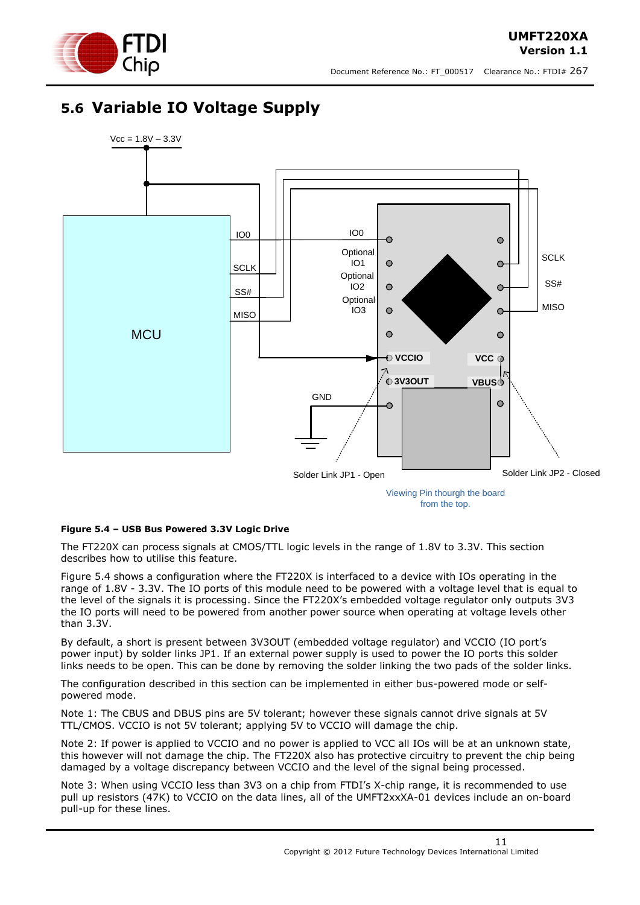

**UMFT220XA Version 1.1**

### <span id="page-10-0"></span>**5.6 Variable IO Voltage Supply**



from the top.

#### <span id="page-10-1"></span>**Figure 5.4 – USB Bus Powered 3.3V Logic Drive**

The FT220X can process signals at CMOS/TTL logic levels in the range of 1.8V to 3.3V. This section describes how to utilise this feature.

[Figure 5.4](#page-10-1) shows a configuration where the FT220X is interfaced to a device with IOs operating in the range of 1.8V - 3.3V. The IO ports of this module need to be powered with a voltage level that is equal to the level of the signals it is processing. Since the FT220X"s embedded voltage regulator only outputs 3V3 the IO ports will need to be powered from another power source when operating at voltage levels other than 3.3V.

By default, a short is present between 3V3OUT (embedded voltage regulator) and VCCIO (IO port"s power input) by solder links JP1. If an external power supply is used to power the IO ports this solder links needs to be open. This can be done by removing the solder linking the two pads of the solder links.

The configuration described in this section can be implemented in either bus-powered mode or selfpowered mode.

Note 1: The CBUS and DBUS pins are 5V tolerant; however these signals cannot drive signals at 5V TTL/CMOS. VCCIO is not 5V tolerant; applying 5V to VCCIO will damage the chip.

Note 2: If power is applied to VCCIO and no power is applied to VCC all IOs will be at an unknown state, this however will not damage the chip. The FT220X also has protective circuitry to prevent the chip being damaged by a voltage discrepancy between VCCIO and the level of the signal being processed.

Note 3: When using VCCIO less than 3V3 on a chip from FTDI's X-chip range, it is recommended to use pull up resistors (47K) to VCCIO on the data lines, all of the UMFT2xxXA-01 devices include an on-board pull-up for these lines.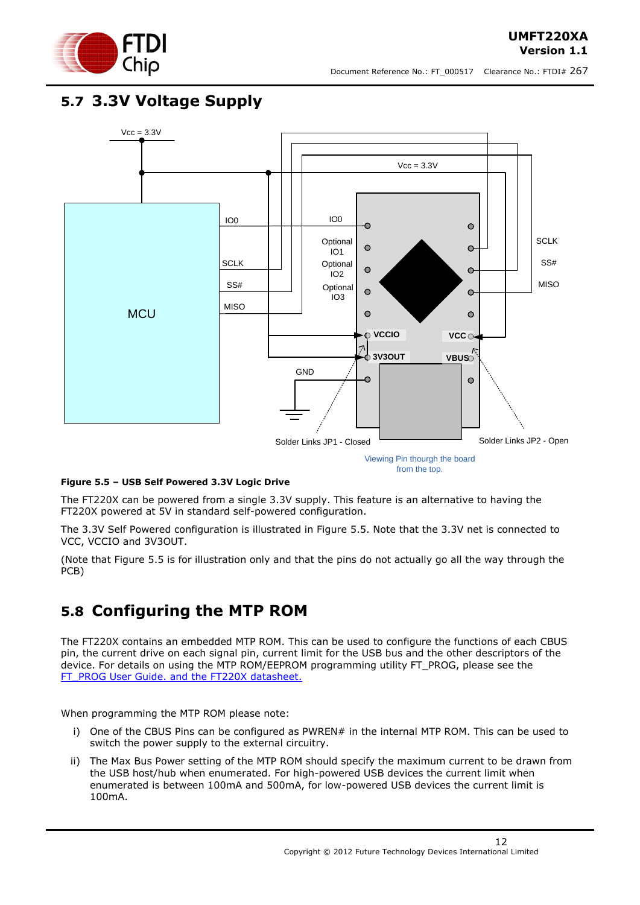

### <span id="page-11-0"></span>**5.7 3.3V Voltage Supply**



#### <span id="page-11-2"></span>**Figure 5.5 – USB Self Powered 3.3V Logic Drive**

The FT220X can be powered from a single 3.3V supply. This feature is an alternative to having the FT220X powered at 5V in standard self-powered configuration.

The 3.3V Self Powered configuration is illustrated in [Figure 5.5.](#page-11-2) Note that the 3.3V net is connected to VCC, VCCIO and 3V3OUT.

(Note that Figure 5.5 is for illustration only and that the pins do not actually go all the way through the PCB)

### <span id="page-11-1"></span>**5.8 Configuring the MTP ROM**

The FT220X contains an embedded MTP ROM. This can be used to configure the functions of each CBUS pin, the current drive on each signal pin, current limit for the USB bus and the other descriptors of the device. For details on using the MTP ROM/EEPROM programming utility FT\_PROG, please see the [FT\\_PROG User Guide.](http://www.ftdichip.com/Support/Documents/AppNotes/AN_124_User_Guide_For_FT_PROG.pdf) and the FT220X datasheet.

When programming the MTP ROM please note:

- i) One of the CBUS Pins can be configured as PWREN# in the internal MTP ROM. This can be used to switch the power supply to the external circuitry.
- ii) The Max Bus Power setting of the MTP ROM should specify the maximum current to be drawn from the USB host/hub when enumerated. For high-powered USB devices the current limit when enumerated is between 100mA and 500mA, for low-powered USB devices the current limit is 100mA.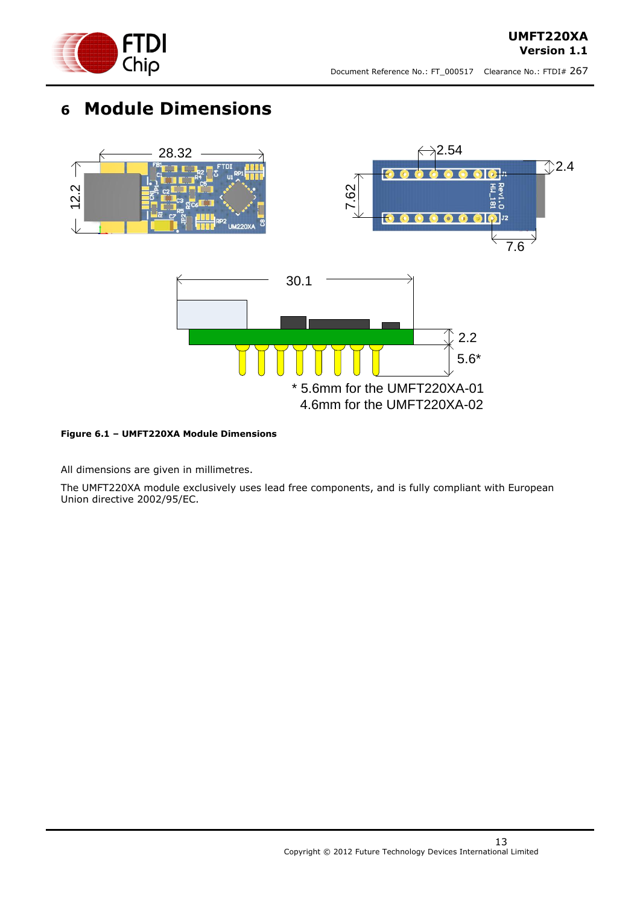

# <span id="page-12-0"></span>**6 Module Dimensions**



#### <span id="page-12-1"></span>**Figure 6.1 – UMFT220XA Module Dimensions**

All dimensions are given in millimetres.

The UMFT220XA module exclusively uses lead free components, and is fully compliant with European Union directive 2002/95/EC.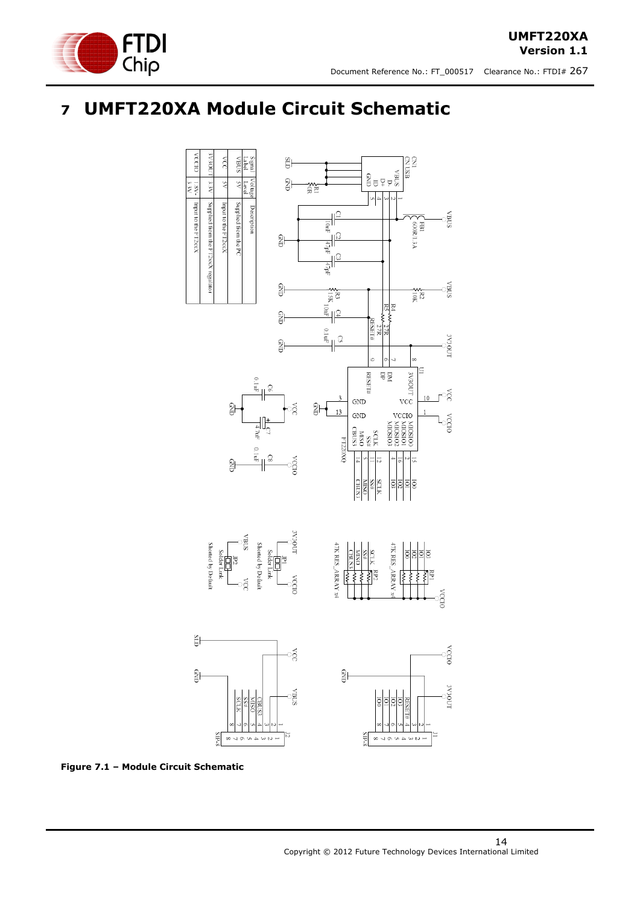

# <span id="page-13-0"></span>**7 UMFT220XA Module Circuit Schematic**



<span id="page-13-1"></span>**Figure 7.1 – Module Circuit Schematic**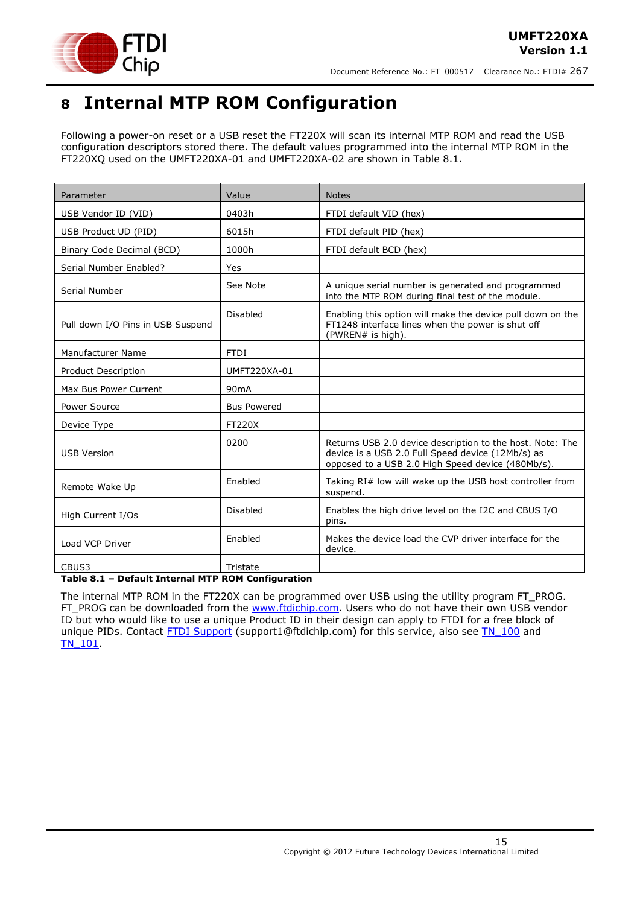

# <span id="page-14-0"></span>**8 Internal MTP ROM Configuration**

Following a power-on reset or a USB reset the FT220X will scan its internal MTP ROM and read the USB configuration descriptors stored there. The default values programmed into the internal MTP ROM in the FT220XQ used on the UMFT220XA-01 and UMFT220XA-02 are shown in Table 8.1.

| Parameter                         | Value              | <b>Notes</b>                                                                                                                                                        |
|-----------------------------------|--------------------|---------------------------------------------------------------------------------------------------------------------------------------------------------------------|
| USB Vendor ID (VID)               | 0403h              | FTDI default VID (hex)                                                                                                                                              |
| USB Product UD (PID)              | 6015h              | FTDI default PID (hex)                                                                                                                                              |
| Binary Code Decimal (BCD)         | 1000h              | FTDI default BCD (hex)                                                                                                                                              |
| Serial Number Enabled?            | Yes                |                                                                                                                                                                     |
| Serial Number                     | See Note           | A unique serial number is generated and programmed<br>into the MTP ROM during final test of the module.                                                             |
| Pull down I/O Pins in USB Suspend | Disabled           | Enabling this option will make the device pull down on the<br>FT1248 interface lines when the power is shut off<br>(PWREN# is high).                                |
| <b>Manufacturer Name</b>          | <b>FTDI</b>        |                                                                                                                                                                     |
| <b>Product Description</b>        | UMFT220XA-01       |                                                                                                                                                                     |
| Max Bus Power Current             | 90 <sub>m</sub> A  |                                                                                                                                                                     |
| Power Source                      | <b>Bus Powered</b> |                                                                                                                                                                     |
| Device Type                       | <b>FT220X</b>      |                                                                                                                                                                     |
| <b>USB Version</b>                | 0200               | Returns USB 2.0 device description to the host. Note: The<br>device is a USB 2.0 Full Speed device (12Mb/s) as<br>opposed to a USB 2.0 High Speed device (480Mb/s). |
| Remote Wake Up                    | Enabled            | Taking RI# low will wake up the USB host controller from<br>suspend.                                                                                                |
| High Current I/Os                 | Disabled           | Enables the high drive level on the I2C and CBUS I/O<br>pins.                                                                                                       |
| Load VCP Driver                   | Enabled            | Makes the device load the CVP driver interface for the<br>device.                                                                                                   |
| CBUS3                             | Tristate           |                                                                                                                                                                     |

#### <span id="page-14-1"></span>**Table 8.1 – Default Internal MTP ROM Configuration**

The internal MTP ROM in the FT220X can be programmed over USB using the utility program FT\_PROG. FT\_PROG can be downloaded from the [www.ftdichip.com.](http://www.ftdichip.com/) Users who do not have their own USB vendor ID but who would like to use a unique Product ID in their design can apply to FTDI for a free block of unique PIDs. Contact **FTDI Support** (support1@ftdichip.com) for this service, also see TN 100 and [TN\\_101.](http://www.ftdichip.com/Support/Documents/TechnicalNotes/TN_104_Guide%20to%20Debugging_Customers_Failed_Driver_%20Installation_%20on_%20Windows.pdf)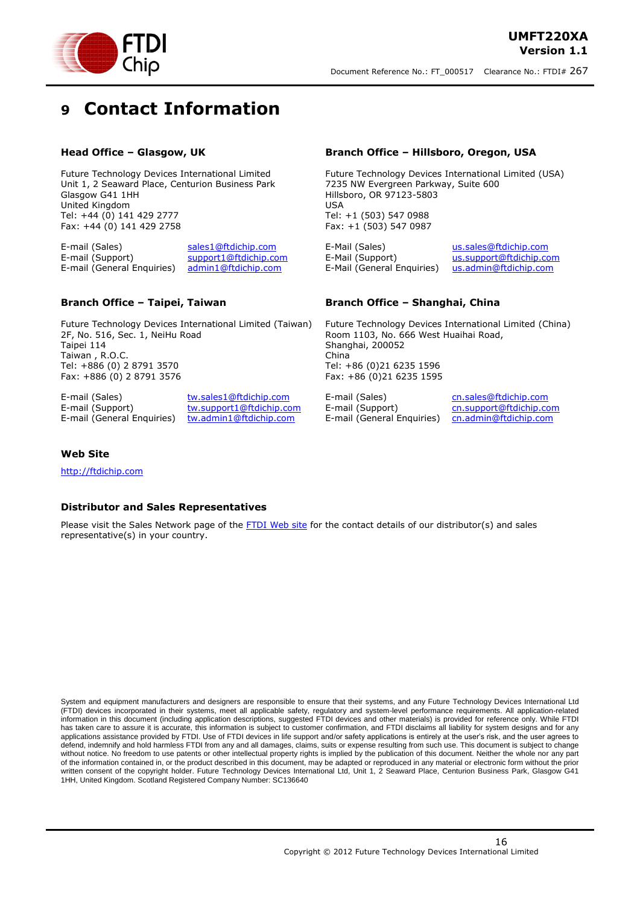

# <span id="page-15-0"></span>**9 Contact Information**

#### **Head Office – Glasgow, UK**

Future Technology Devices International Limited Unit 1, 2 Seaward Place, Centurion Business Park Glasgow G41 1HH United Kingdom Tel: +44 (0) 141 429 2777 Fax: +44 (0) 141 429 2758

E-mail (Sales) [sales1@ftdichip.com](mailto:sales1@ftdichip.com) E-mail (Support) [support1@ftdichip.com](mailto:support1@ftdichip.com) E-mail (General Enquiries) [admin1@ftdichip.com](mailto:admin1@ftdichip.com)

#### **Branch Office – Taipei, Taiwan**

Future Technology Devices International Limited (Taiwan) 2F, No. 516, Sec. 1, NeiHu Road Taipei 114 Taiwan , R.O.C. Tel: +886 (0) 2 8791 3570 Fax: +886 (0) 2 8791 3576

E-mail (Sales) [tw.sales1@ftdichip.com](mailto:tw.sales1@ftdichip.com) E-mail (Support) [tw.support1@ftdichip.com](mailto:tw.support1@ftdichip.com) E-mail (General Enquiries) [tw.admin1@ftdichip.com](mailto:tw.admin1@ftdichip.com)

#### **Branch Office – Hillsboro, Oregon, USA**

Future Technology Devices International Limited (USA) 7235 NW Evergreen Parkway, Suite 600 Hillsboro, OR 97123-5803 USA Tel: +1 (503) 547 0988 Fax: +1 (503) 547 0987

E-Mail (Sales) [us.sales@ftdichip.com](mailto:us.sales@ftdichip.com) E-Mail (Support) [us.support@ftdichip.com](mailto:us.support@ftdichip.com) E-Mail (General Enquiries) [us.admin@ftdichip.com](mailto:us.admin@ftdichip.com)

#### **Branch Office – Shanghai, China**

Future Technology Devices International Limited (China) Room 1103, No. 666 West Huaihai Road, Shanghai, 200052 China Tel: +86 (0)21 6235 1596 Fax: +86 (0)21 6235 1595

E-mail (Support) [cn.support@ftdichip.com](mailto:cn.support@ftdichip.com) E-mail (General Enquiries) [cn.admin@ftdichip.com](mailto:cn.admin@ftdichip.com)

E-mail (Sales) [cn.sales@ftdichip.com](mailto:cn.sales@ftdichip.com)

#### **Web Site**

[http://ftdichip.com](http://ftdichip.com/)

#### **Distributor and Sales Representatives**

Please visit the Sales Network page of the [FTDI Web site](http://ftdichip.com/FTSalesNetwork.htm) for the contact details of our distributor(s) and sales representative(s) in your country.

System and equipment manufacturers and designers are responsible to ensure that their systems, and any Future Technology Devices International Ltd (FTDI) devices incorporated in their systems, meet all applicable safety, regulatory and system-level performance requirements. All application-related information in this document (including application descriptions, suggested FTDI devices and other materials) is provided for reference only. While FTDI has taken care to assure it is accurate, this information is subject to customer confirmation, and FTDI disclaims all liability for system designs and for any applications assistance provided by FTDI. Use of FTDI devices in life support and/or safety applications is entirely at the user's risk, and the user agrees to defend, indemnify and hold harmless FTDI from any and all damages, claims, suits or expense resulting from such use. This document is subject to change without notice. No freedom to use patents or other intellectual property rights is implied by the publication of this document. Neither the whole nor any part of the information contained in, or the product described in this document, may be adapted or reproduced in any material or electronic form without the prior written consent of the copyright holder. Future Technology Devices International Ltd, Unit 1, 2 Seaward Place, Centurion Business Park, Glasgow G41 1HH, United Kingdom. Scotland Registered Company Number: SC136640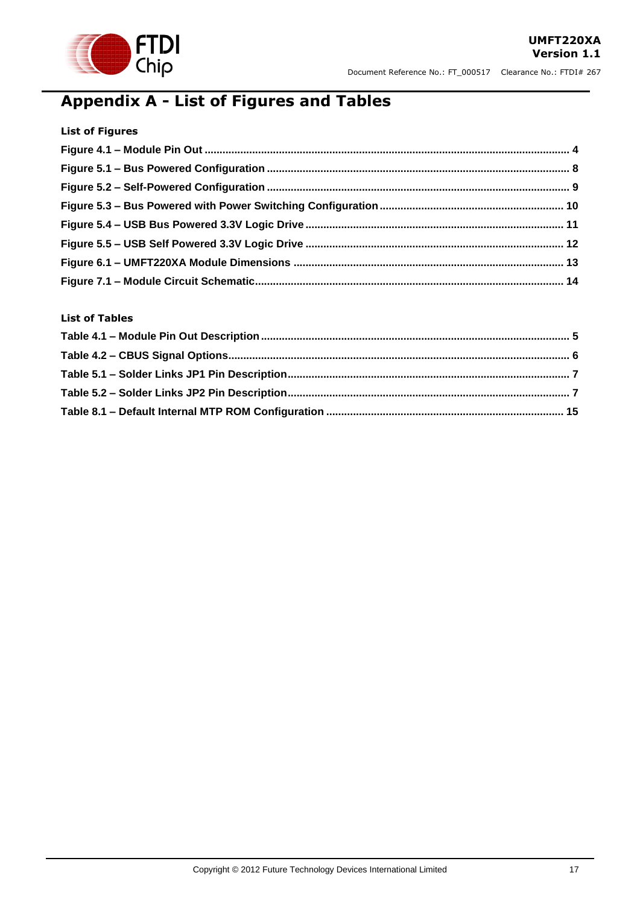

# <span id="page-16-0"></span>**Appendix A - List of Figures and Tables**

| <b>List of Figures</b> |  |
|------------------------|--|
|                        |  |
|                        |  |
|                        |  |
|                        |  |
|                        |  |
|                        |  |
|                        |  |
|                        |  |

#### **List of Tables**